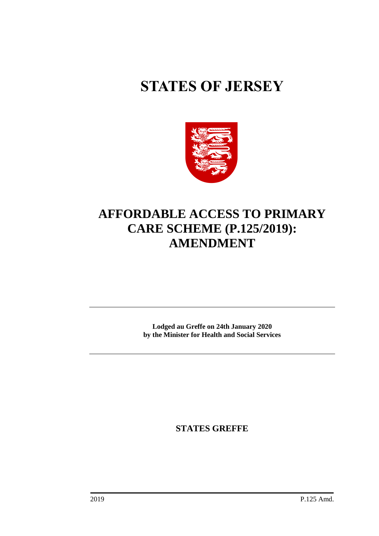# **STATES OF JERSEY**



# **AFFORDABLE ACCESS TO PRIMARY CARE SCHEME (P.125/2019): AMENDMENT**

**Lodged au Greffe on 24th January 2020 by the Minister for Health and Social Services**

**STATES GREFFE**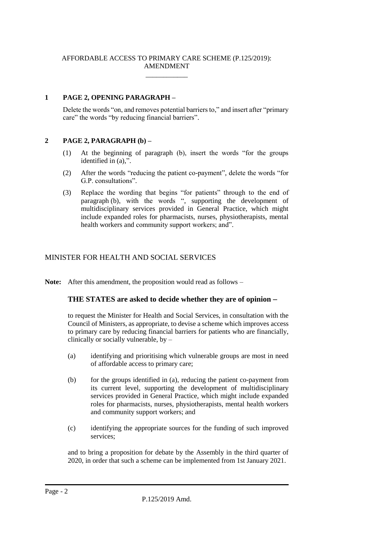#### AFFORDABLE ACCESS TO PRIMARY CARE SCHEME (P.125/2019): AMENDMENT

\_\_\_\_\_\_\_\_\_\_\_\_

### **1 PAGE 2, OPENING PARAGRAPH –**

Delete the words "on, and removes potential barriers to," and insert after "primary care" the words "by reducing financial barriers".

#### **2 PAGE 2, PARAGRAPH (b) –**

- (1) At the beginning of paragraph (b), insert the words "for the groups identified in (a),".
- (2) After the words "reducing the patient co-payment", delete the words "for G.P. consultations".
- (3) Replace the wording that begins "for patients" through to the end of paragraph (b), with the words ", supporting the development of multidisciplinary services provided in General Practice, which might include expanded roles for pharmacists, nurses, physiotherapists, mental health workers and community support workers; and".

## MINISTER FOR HEALTH AND SOCIAL SERVICES

**Note:** After this amendment, the proposition would read as follows –

#### **THE STATES are asked to decide whether they are of opinion** −

to request the Minister for Health and Social Services, in consultation with the Council of Ministers, as appropriate, to devise a scheme which improves access to primary care by reducing financial barriers for patients who are financially, clinically or socially vulnerable, by –

- (a) identifying and prioritising which vulnerable groups are most in need of affordable access to primary care;
- (b) for the groups identified in (a), reducing the patient co-payment from its current level, supporting the development of multidisciplinary services provided in General Practice, which might include expanded roles for pharmacists, nurses, physiotherapists, mental health workers and community support workers; and
- (c) identifying the appropriate sources for the funding of such improved services;

and to bring a proposition for debate by the Assembly in the third quarter of 2020, in order that such a scheme can be implemented from 1st January 2021.